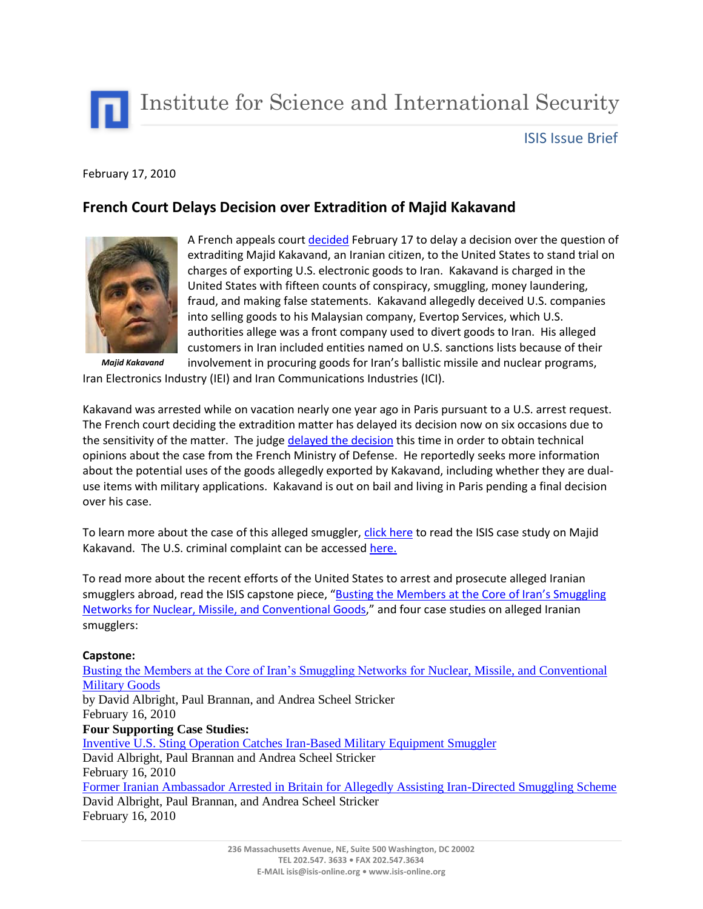

Institute for Science and International Security

## ISIS Issue Brief

## February 17, 2010

## **French Court Delays Decision over Extradition of Majid Kakavand**



*Majid Kakavand*

A French appeals cour[t decided](http://www.google.com/hostednews/ap/article/ALeqM5gJZpwPBIchVgbqBguUfhqPNpRkbAD9DTVQ080) February 17 to delay a decision over the question of extraditing Majid Kakavand, an Iranian citizen, to the United States to stand trial on charges of exporting U.S. electronic goods to Iran. Kakavand is charged in the United States with fifteen counts of conspiracy, smuggling, money laundering, fraud, and making false statements. Kakavand allegedly deceived U.S. companies into selling goods to his Malaysian company, Evertop Services, which U.S. authorities allege was a front company used to divert goods to Iran. His alleged customers in Iran included entities named on U.S. sanctions lists because of their involvement in procuring goods for Iran's ballistic missile and nuclear programs,

Iran Electronics Industry (IEI) and Iran Communications Industries (ICI).

Kakavand was arrested while on vacation nearly one year ago in Paris pursuant to a U.S. arrest request. The French court deciding the extradition matter has delayed its decision now on six occasions due to the sensitivity of the matter. The judg[e delayed the decision](http://tempsreel.nouvelobs.com/depeches/international/proche_moyenorient/20100217.FAP8882/sixieme_renvoi_pour_liranien_majid_kakavand_dont_les_us.html) this time in order to obtain technical opinions about the case from the French Ministry of Defense. He reportedly seeks more information about the potential uses of the goods allegedly exported by Kakavand, including whether they are dualuse items with military applications. Kakavand is out on bail and living in Paris pending a final decision over his case.

To learn more about the case of this alleged smuggler, [click here](http://isis-online.org/isis-reports/detail/middleman-arrested-for-directing-malaysia-based-iranian-illicit-procurement/) to read the ISIS case study on Majid Kakavand. The U.S. criminal complaint can be accessed [here.](http://www.exportlawblog.com/docs/us_v_kakavand.pdf)

To read more about the recent efforts of the United States to arrest and prosecute alleged Iranian smugglers abroad, read the ISIS capstone piece, "Busting the Members at the Core of Iran's Smuggling [Networks for Nuclear, Missile, and Conventional Goods](http://isis-online.org/isis-reports/detail/new-case-studies-on-the-iranian-illicit-procurement-efforts/)," and four case studies on alleged Iranian smugglers:

## **Capstone:**

[Busting the Members at the Core of Iran's Smuggling Networks for](http://isis-online.org/isis-reports/detail/busting-the-members-at-the-core-of-irans-smuggling-networks/) Nuclear, Missile, and Conventional [Military Goods](http://isis-online.org/isis-reports/detail/busting-the-members-at-the-core-of-irans-smuggling-networks/) by David Albright, Paul Brannan, and Andrea Scheel Stricker February 16, 2010 **Four Supporting Case Studies:** [Inventive U.S. Sting Operation Catches Iran-Based Military Equipment Smuggler](http://isis-online.org/isis-reports/detail/inventive-u.s.-sting-operation-catches-iran-based-military-equipment-smuggl/) David Albright, Paul Brannan and Andrea Scheel Stricker February 16, 2010 [Former Iranian Ambassador Arrested in Britain for Allegedly Assisting Iran-Directed Smuggling Scheme](http://isis-online.org/isis-reports/detail/former-iranian-ambassador-arrested-in-britain-for-assisting-iran-directed-s/) David Albright, Paul Brannan, and Andrea Scheel Stricker February 16, 2010